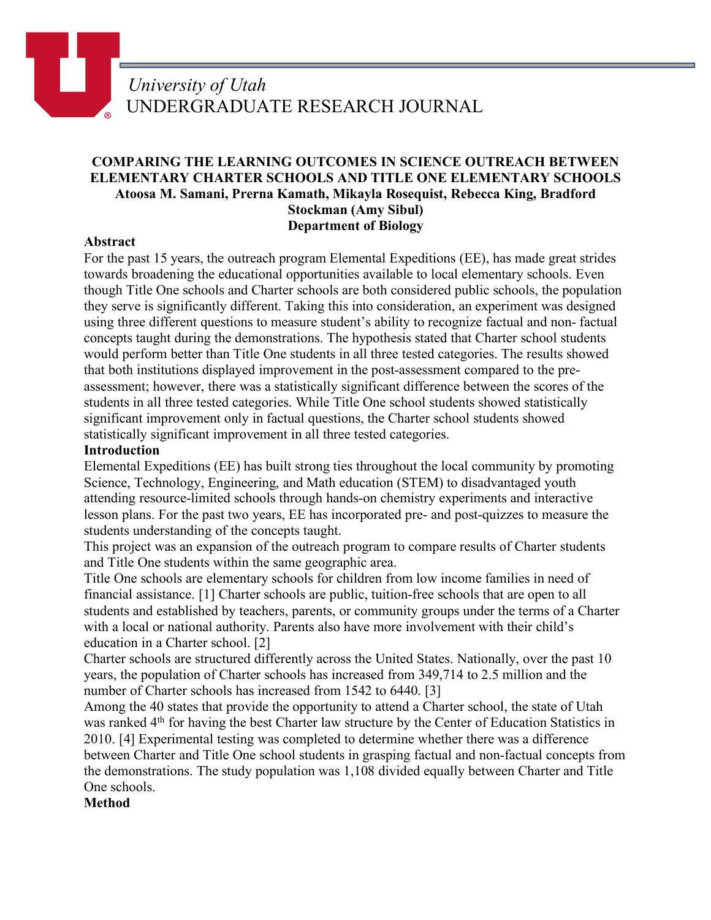# **COMPARING THE LEARNING OUTCOMES IN SCIENCE OUTREACH BETWEEN ELEMENTARY CHARTER SCHOOLS AND TITLE ONE ELEMENTARY SCHOOLS Atoosa M. Samani, Prerna Kamath, Mikayla Rosequist, Rebecca King, Bradford Stockman (Amy Sibul) Department of Biology**

### **Abstract**

For the past 15 years, the outreach program Elemental Expeditions (EE), has made great strides towards broadening the educational opportunities available to local elementary schools. Even though Title One schools and Charter schools are both considered public schools, the population they serve is significantly different. Taking this into consideration, an experiment was designed using three different questions to measure student's ability to recognize factual and non- factual concepts taught during the demonstrations. The hypothesis stated that Charter school students would perform better than Title One students in all three tested categories. The results showed that both institutions displayed improvement in the post-assessment compared to the preassessment; however, there was a statistically significant difference between the scores of the students in all three tested categories. While Title One school students showed statistically significant improvement only in factual questions, the Charter school students showed statistically significant improvement in all three tested categories.

#### **Introduction**

Elemental Expeditions (EE) has built strong ties throughout the local community by promoting Science, Technology, Engineering, and Math education (STEM) to disadvantaged youth attending resource-limited schools through hands-on chemistry experiments and interactive lesson plans. For the past two years, EE has incorporated pre- and post-quizzes to measure the students understanding of the concepts taught.

This project was an expansion of the outreach program to compare results of Charter students and Title One students within the same geographic area.

Title One schools are elementary schools for children from low income families in need of financial assistance. [1] Charter schools are public, tuition-free schools that are open to all students and established by teachers, parents, or community groups under the terms of a Charter with a local or national authority. Parents also have more involvement with their child's education in a Charter school. [2]

Charter schools are structured differently across the United States. Nationally, over the past 10 years, the population of Charter schools has increased from 349,714 to 2.5 million and the number of Charter schools has increased from 1542 to 6440. [3]

Among the 40 states that provide the opportunity to attend a Charter school, the state of Utah was ranked 4<sup>th</sup> for having the best Charter law structure by the Center of Education Statistics in 2010. [4] Experimental testing was completed to determine whether there was a difference between Charter and Title One school students in grasping factual and non-factual concepts from the demonstrations. The study population was 1,108 divided equally between Charter and Title One schools.

#### **Method**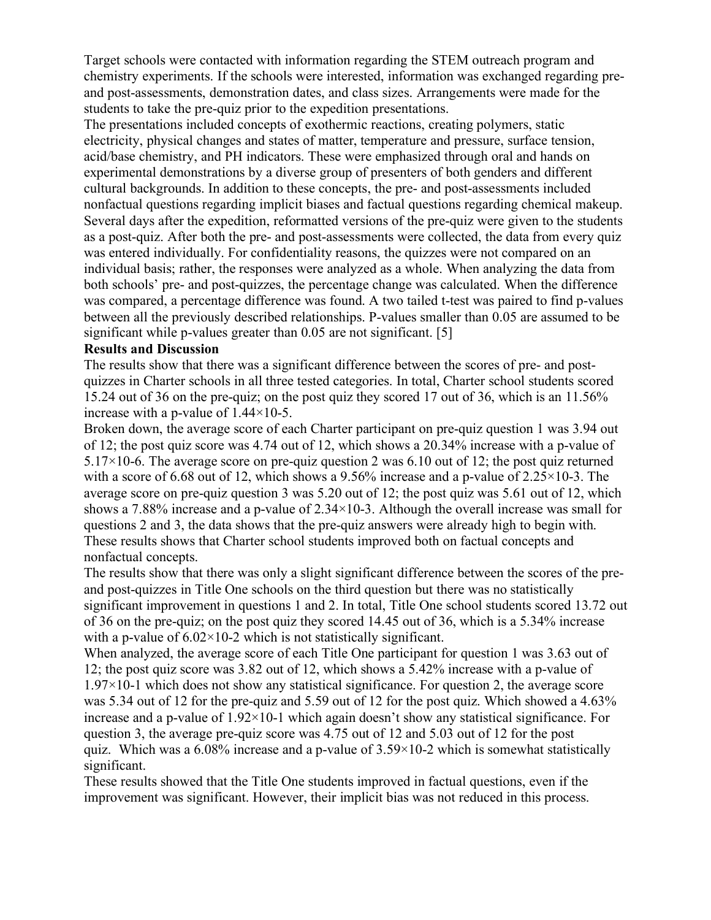Target schools were contacted with information regarding the STEM outreach program and chemistry experiments. If the schools were interested, information was exchanged regarding preand post-assessments, demonstration dates, and class sizes. Arrangements were made for the students to take the pre-quiz prior to the expedition presentations.

The presentations included concepts of exothermic reactions, creating polymers, static electricity, physical changes and states of matter, temperature and pressure, surface tension, acid/base chemistry, and PH indicators. These were emphasized through oral and hands on experimental demonstrations by a diverse group of presenters of both genders and different cultural backgrounds. In addition to these concepts, the pre- and post-assessments included nonfactual questions regarding implicit biases and factual questions regarding chemical makeup. Several days after the expedition, reformatted versions of the pre-quiz were given to the students as a post-quiz. After both the pre- and post-assessments were collected, the data from every quiz was entered individually. For confidentiality reasons, the quizzes were not compared on an individual basis; rather, the responses were analyzed as a whole. When analyzing the data from both schools' pre- and post-quizzes, the percentage change was calculated. When the difference was compared, a percentage difference was found. A two tailed t-test was paired to find p-values between all the previously described relationships. P-values smaller than 0.05 are assumed to be significant while p-values greater than 0.05 are not significant. [5]

#### **Results and Discussion**

The results show that there was a significant difference between the scores of pre- and postquizzes in Charter schools in all three tested categories. In total, Charter school students scored 15.24 out of 36 on the pre-quiz; on the post quiz they scored 17 out of 36, which is an 11.56% increase with a p-value of 1.44×10-5.

Broken down, the average score of each Charter participant on pre-quiz question 1 was 3.94 out of 12; the post quiz score was 4.74 out of 12, which shows a 20.34% increase with a p-value of 5.17 $\times$ 10-6. The average score on pre-quiz question 2 was 6.10 out of 12; the post quiz returned with a score of 6.68 out of 12, which shows a 9.56% increase and a p-value of 2.25×10-3. The average score on pre-quiz question 3 was 5.20 out of 12; the post quiz was 5.61 out of 12, which shows a 7.88% increase and a p-value of  $2.34 \times 10^{-3}$ . Although the overall increase was small for questions 2 and 3, the data shows that the pre-quiz answers were already high to begin with. These results shows that Charter school students improved both on factual concepts and nonfactual concepts.

The results show that there was only a slight significant difference between the scores of the preand post-quizzes in Title One schools on the third question but there was no statistically significant improvement in questions 1 and 2. In total, Title One school students scored 13.72 out of 36 on the pre-quiz; on the post quiz they scored 14.45 out of 36, which is a 5.34% increase with a p-value of  $6.02 \times 10$ -2 which is not statistically significant.

When analyzed, the average score of each Title One participant for question 1 was 3.63 out of 12; the post quiz score was 3.82 out of 12, which shows a 5.42% increase with a p-value of  $1.97\times10-1$  which does not show any statistical significance. For question 2, the average score was 5.34 out of 12 for the pre-quiz and 5.59 out of 12 for the post quiz. Which showed a 4.63% increase and a p-value of  $1.92 \times 10^{-1}$  which again doesn't show any statistical significance. For question 3, the average pre-quiz score was 4.75 out of 12 and 5.03 out of 12 for the post quiz. Which was a 6.08% increase and a p-value of  $3.59 \times 10^{-2}$  which is somewhat statistically significant.

These results showed that the Title One students improved in factual questions, even if the improvement was significant. However, their implicit bias was not reduced in this process.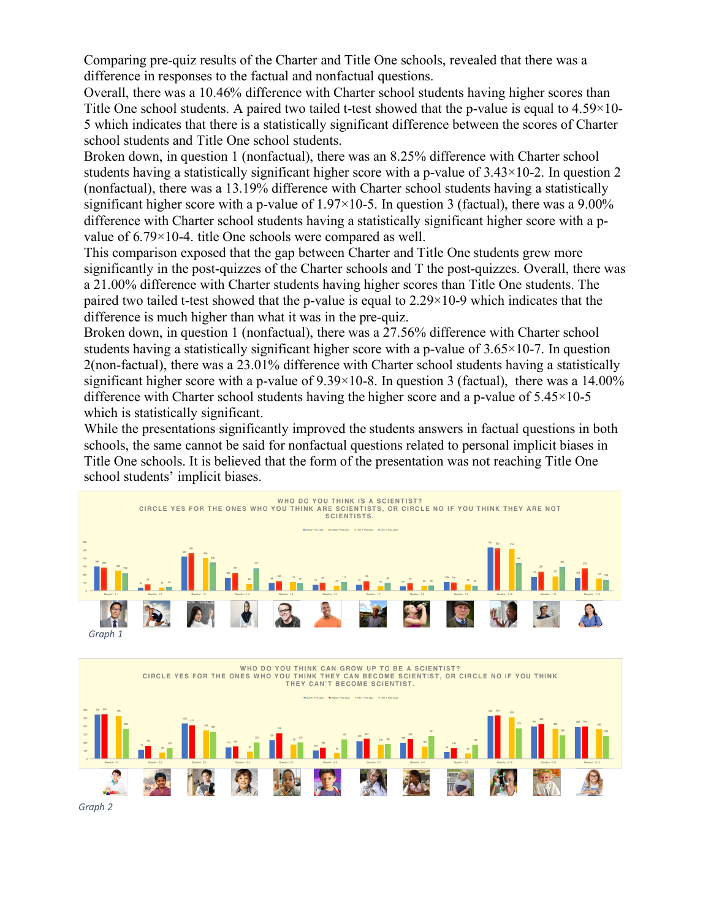Comparing pre-quiz results of the Charter and Title One schools, revealed that there was a difference in responses to the factual and nonfactual questions.

Overall, there was a 10.46% difference with Charter school students having higher scores than Title One school students. A paired two tailed t-test showed that the p-value is equal to 4.59×10- 5 which indicates that there is a statistically significant difference between the scores of Charter school students and Title One school students.

Broken down, in question 1 (nonfactual), there was an 8.25% difference with Charter school students having a statistically significant higher score with a p-value of 3.43×10-2. In question 2 (nonfactual), there was a 13.19% difference with Charter school students having a statistically significant higher score with a p-value of  $1.97 \times 10^{-5}$ . In question 3 (factual), there was a 9.00% difference with Charter school students having a statistically significant higher score with a pvalue of 6.79×10-4. title One schools were compared as well.

This comparison exposed that the gap between Charter and Title One students grew more significantly in the post-quizzes of the Charter schools and T the post-quizzes. Overall, there was a 21.00% difference with Charter students having higher scores than Title One students. The paired two tailed t-test showed that the p-value is equal to 2.29×10-9 which indicates that the difference is much higher than what it was in the pre-quiz.

Broken down, in question 1 (nonfactual), there was a 27.56% difference with Charter school students having a statistically significant higher score with a p-value of  $3.65 \times 10^{-7}$ . In question 2(non-factual), there was a 23.01% difference with Charter school students having a statistically significant higher score with a p-value of  $9.39 \times 10^{-8}$ . In question 3 (factual), there was a 14.00% difference with Charter school students having the higher score and a p-value of 5.45×10-5 which is statistically significant.

While the presentations significantly improved the students answers in factual questions in both schools, the same cannot be said for nonfactual questions related to personal implicit biases in Title One schools. It is believed that the form of the presentation was not reaching Title One school students' implicit biases.





*Graph 2*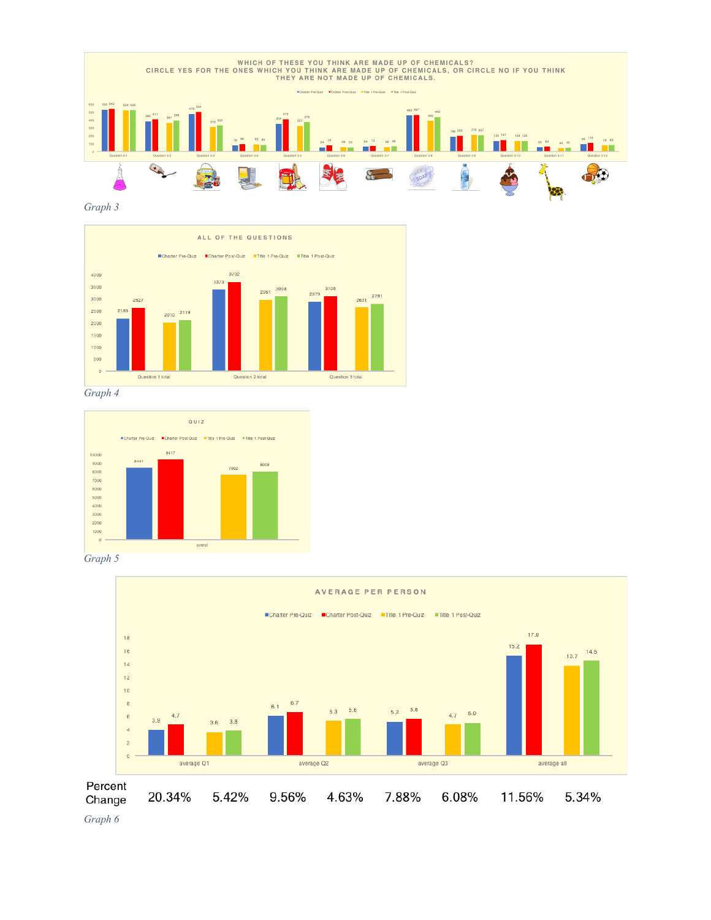

*Graph 3*



*Graph 4*